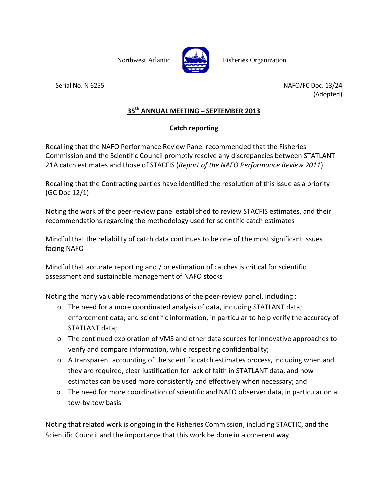

Northwest Atlantic Fisheries Organization

Serial No. N 6255 NAFO/FC Doc. 13/24 (Adopted)

## **35th ANNUAL MEETING – SEPTEMBER 2013**

## **Catch reporting**

Recalling that the NAFO Performance Review Panel recommended that the Fisheries Commission and the Scientific Council promptly resolve any discrepancies between STATLANT 21A catch estimates and those of STACFIS (*Report of the NAFO Performance Review 2011*)

Recalling that the Contracting parties have identified the resolution of this issue as a priority (GC Doc 12/1)

Noting the work of the peer-review panel established to review STACFIS estimates, and their recommendations regarding the methodology used for scientific catch estimates

Mindful that the reliability of catch data continues to be one of the most significant issues facing NAFO

Mindful that accurate reporting and / or estimation of catches is critical for scientific assessment and sustainable management of NAFO stocks

Noting the many valuable recommendations of the peer-review panel, including :

- o The need for a more coordinated analysis of data, including STATLANT data; enforcement data; and scientific information, in particular to help verify the accuracy of STATLANT data;
- o The continued exploration of VMS and other data sources for innovative approaches to verify and compare information, while respecting confidentiality;
- o A transparent accounting of the scientific catch estimates process, including when and they are required, clear justification for lack of faith in STATLANT data, and how estimates can be used more consistently and effectively when necessary; and
- o The need for more coordination of scientific and NAFO observer data, in particular on a tow-by-tow basis

Noting that related work is ongoing in the Fisheries Commission, including STACTIC, and the Scientific Council and the importance that this work be done in a coherent way